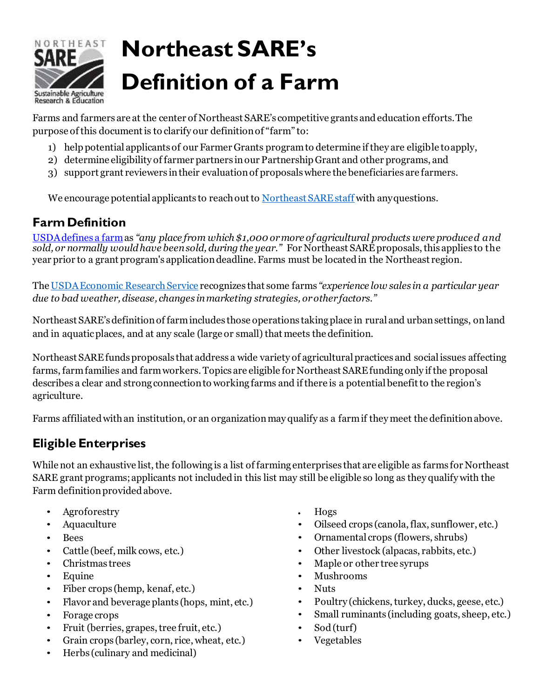

# **Northeast SARE's Definition of a Farm**

Farms and farmers are at the center of Northeast SARE's competitive grants and education efforts.The purpose of this document is to clarify our definitionof "farm" to:

- 1) help potential applicants of our Farmer Grants programto determine if they are eligible toapply,
- 2) determine eligibility of farmer partners inour Partnership Grant and other programs, and
- 3) support grant reviewers intheir evaluationof proposals where the beneficiaries are farmers.

We encourage potential applicants to reach out to [Northeast](https://northeast.sare.org/about/northeast-sare-staff/) SARE staff with any questions.

#### **FarmDefinition**

[USDAdefines a](https://www.ers.usda.gov/topics/farm-economy/farm-household-well-being/glossary/#farm) farmas *"any place from which \$1,000 ormore of agricultural products were produced and sold, or normally wouldhave been sold, duringthe year."* For Northeast SARE proposals,this applies to the year prior to a grant program's applicationdeadline. Farms must be located in the Northeast region.

Th[e USDA Economic ResearchService](https://www.ers.usda.gov/topics/farm-economy/farm-household-well-being/glossary.aspx) recognizes that some farms *"experience low sales in a particular year due to bad weather, disease, changes in marketing strategies, orotherfactors."*

Northeast SARE'sdefinitionof farm includes those operations takingplace in rural and urbansettings, onland and in aquaticplaces, and at any scale (large or small) that meets the definition.

Northeast SARE funds proposals that address a wide variety of agricultural practices and social issues affecting farms,farm families and farm workers. Topics are eligible for Northeast SARE funding only if the proposal describes a clear and strong connection to working farms and if there is a potential benefit to the region's agriculture.

Farms affiliatedwithan institution, or an organizationmay qualify as a farm if they meet the definitionabove.

## **Eligible Enterprises**

While not an exhaustive list, the following is a list of farming enterprises that are eligible as farms for Northeast SARE grant programs; applicants not included in this list may still be eligible so long as they qualify with the Farm definition provided above.

- Agroforestry
- Aquaculture
- Bees
- Cattle (beef, milk cows, etc.)
- Christmas trees
- Equine
- Fiber crops (hemp, kenaf, etc.)
- Flavor and beverage plants (hops, mint, etc.)
- Forage crops
- Fruit (berries, grapes, tree fruit, etc.)
- Grain crops (barley, corn, rice, wheat, etc.)
- Herbs (culinary and medicinal)
- Hogs
- Oilseed crops (canola, flax, sunflower, etc.)
- Ornamental crops (flowers, shrubs)
- Other livestock (alpacas, rabbits, etc.)
- Maple or other tree syrups
- Mushrooms
- Nuts
- Poultry (chickens, turkey, ducks, geese, etc.)
- Small ruminants (including goats, sheep, etc.)
- Sod (turf)
- Vegetables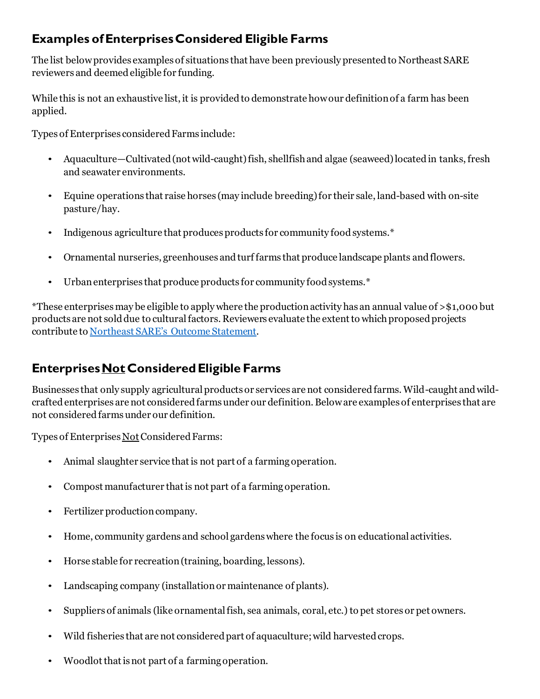### **Examples ofEnterprisesConsidered Eligible Farms**

The list belowprovides examples of situations that have been previously presented to Northeast SARE reviewers and deemedeligible for funding.

While this is not an exhaustive list, it is provided to demonstrate how our definition of a farm has been applied.

Types of Enterprises considered Farms include:

- Aquaculture—Cultivated (not wild-caught) fish, shellfish and algae (seaweed) located in tanks, fresh and seawater environments.
- Equine operations that raise horses (may include breeding)for their sale, land-based with on-site pasture/hay.
- Indigenous agriculture that produces products for community food systems.\*
- Ornamental nurseries, greenhouses and turf farms that produce landscape plants andflowers.
- Urban enterprises that produce products for community food systems.\*

\*These enterprisesmay be eligible to apply where the productionactivity has an annual value of >\$1,000 but products are not sold due to cultural factors. Reviewers evaluate the extent to which proposed projects contribute t[o Northeast](https://northeast.sare.org/about/) SARE's Outcome Statement.

#### **Enterprises Not Considered Eligible Farms**

Businesses that only supply agricultural products or services are not considered farms.Wild-caught and wildcraftedenterprises are not considered farms under our definition. Beloware examples of enterprises that are not considered farms under our definition.

Types of Enterprises Not Considered Farms:

- Animal slaughter service that is not part of a farming operation.
- Compost manufacturer that is not part of a farming operation.
- Fertilizer production company.
- Home, community gardens and school gardens where the focus is on educational activities.
- Horse stable for recreation(training, boarding, lessons).
- Landscaping company (installationor maintenance of plants).
- Suppliers of animals (like ornamental fish, sea animals, coral, etc.) to pet stores or pet owners.
- Wild fisheries that are not considered part of aquaculture; wild harvested crops.
- Woodlot that is not part of a farming operation.